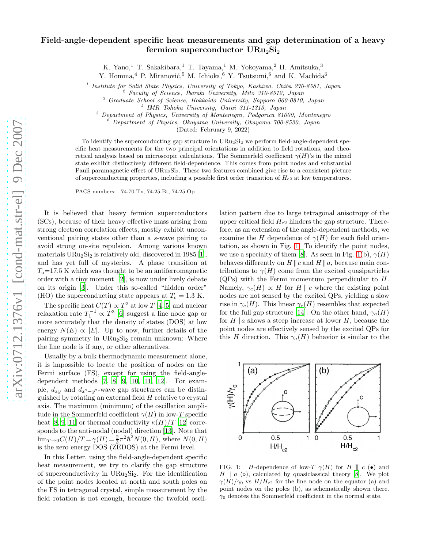## Field-angle-dependent specific heat measurements and gap determination of a heavy fermion superconductor  $URu_2Si_2$

K. Yano,<sup>1</sup> T. Sakakibara,<sup>1</sup> T. Tayama,<sup>1</sup> M. Yokoyama,<sup>2</sup> H. Amitsuka,<sup>3</sup>

Y. Homma,<sup>4</sup> P. Miranović,<sup>5</sup> M. Ichioka,<sup>6</sup> Y. Tsutsumi,<sup>6</sup> and K. Machida<sup>6</sup>

<sup>1</sup> Institute for Solid State Physics, University of Tokyo, Kashiwa, Chiba 270-8581, Japan

<sup>2</sup> Faculty of Science, Ibaraki University, Mito 310-8512, Japan

 $^3\,$  Graduate School of Science, Hokkaido University, Sapporo 060-0810, Japan

<sup>5</sup> Department of Physics, University of Montenegro, Podgorica 81000, Montenegro

<sup>6</sup> Department of Physics, Okayama University, Okayama 700-8530, Japan

(Dated: February 9, 2022)

To identify the superconducting gap structure in  $URu_2Si_2$  we perform field-angle-dependent specific heat measurements for the two principal orientations in addition to field rotations, and theoretical analysis based on microscopic calculations. The Sommerfeld coefficient  $\gamma(H)$ 's in the mixed state exhibit distinctively different field-dependence. This comes from point nodes and substantial Pauli paramagnetic effect of URu<sub>2</sub>Si<sub>2</sub>. These two features combined give rise to a consistent picture of superconducting properties, including a possible first order transition of  $H_{c2}$  at low temperatures.

PACS numbers: 74.70.Tx, 74.25.Bt, 74.25.Op

It is believed that heavy fermion superconductors (SCs), because of their heavy effective mass arising from strong electron correlation effects, mostly exhibit unconventional pairing states other than a s-wave pairing to avoid strong on-site repulsion. Among various known materials  $URu_2Si_2$  is relatively old, discovered in 1985 [\[1\]](#page-3-0), and has yet full of mysteries. A phase transition at  $T<sub>o</sub>=17.5$  K which was thought to be an antiferromagnetic order with a tiny moment [\[2](#page-3-1)], is now under lively debate on its origin [\[3\]](#page-3-2). Under this so-called "hidden order" (HO) the superconducting state appears at  $T_c = 1.3$  K.

The specific heat  $C(T) \propto T^2$  at low T [\[4,](#page-3-3) [5](#page-3-4)] and nuclear relaxation rate  $T_1^{-1} \propto T^3$  [\[6](#page-3-5)] suggest a line node gap or more accurately that the density of states (DOS) at low energy  $N(E) \propto |E|$ . Up to now, further details of the pairing symmetry in  $URu<sub>2</sub>Si<sub>2</sub>$  remain unknown: Where the line node is if any, or other alternatives.

Usually by a bulk thermodynamic measurement alone, it is impossible to locate the position of nodes on the Fermi surface (FS), except for using the field-angledependent methods [\[7](#page-3-6), [8,](#page-3-7) [9](#page-3-8), [10,](#page-3-9) [11,](#page-3-10) [12\]](#page-3-11). For example,  $d_{xy}$  and  $d_{x^2-y^2}$ -wave gap structures can be distinguished by rotating an external field  $H$  relative to crystal axis. The maximum (minimum) of the oscillation amplitude in the Sommerfeld coefficient  $\gamma(H)$  in low-T specific heat [\[8](#page-3-7), [9,](#page-3-8) [11](#page-3-10)] or thermal conductivity  $\kappa(H)/T$  [\[12\]](#page-3-11) corresponds to the anti-nodal (nodal) direction [\[13\]](#page-3-12). Note that  $\lim_{T\to 0} C(H)/T = \gamma(H) = \frac{2}{3}\pi^2 h^2 N(0, H)$ , where  $N(0, H)$ is the zero energy DOS (ZEDOS) at the Fermi level.

In this Letter, using the field-angle-dependent specific heat measurement, we try to clarify the gap structure of superconductivity in  $URu_2Si_2$ . For the identification of the point nodes located at north and south poles on the FS in tetragonal crystal, simple measurement by the field rotation is not enough, because the twofold oscil-

lation pattern due to large tetragonal anisotropy of the upper critical field  $H_{c2}$  hinders the gap structure. Therefore, as an extension of the angle-dependent methods, we examine the H dependence of  $\gamma(H)$  for each field orientation, as shown in Fig. [1.](#page-0-0) To identify the point nodes, we use a specialty of them [\[8\]](#page-3-7). As seen in Fig. [1\(](#page-0-0)b),  $\gamma(H)$ behaves differently on  $H \parallel c$  and  $H \parallel a$ , because main contributions to  $\gamma(H)$  come from the excited quasiparticles  $(QPs)$  with the Fermi momentum perpendicular to H. Namely,  $\gamma_c(H) \propto H$  for H || c where the existing point nodes are not sensed by the excited QPs, yielding a slow rise in  $\gamma_c(H)$ . This linear  $\gamma_c(H)$  resembles that expected for the full gap structure [\[14](#page-3-13)]. On the other hand,  $\gamma_a(H)$ for  $H \parallel a$  shows a steep increase at lower H, because the point nodes are effectively sensed by the excited QPs for this H direction. This  $\gamma_a(H)$  behavior is similar to the



<span id="page-0-0"></span>FIG. 1: *H*-dependence of low-T  $\gamma(H)$  for H || c ( $\bullet$ ) and  $H \parallel a$  ( $\circ$ ), calculated by quasiclassical theory [\[8\]](#page-3-7). We plot  $\gamma(H)/\gamma_0$  vs  $H/H_{c2}$  for the line node on the equator (a) and point nodes on the poles (b), as schematically shown there.  $\gamma_0$  denotes the Sommerfeld coefficient in the normal state.

<sup>4</sup> IMR Tohoku University, Oarai 311-1313, Japan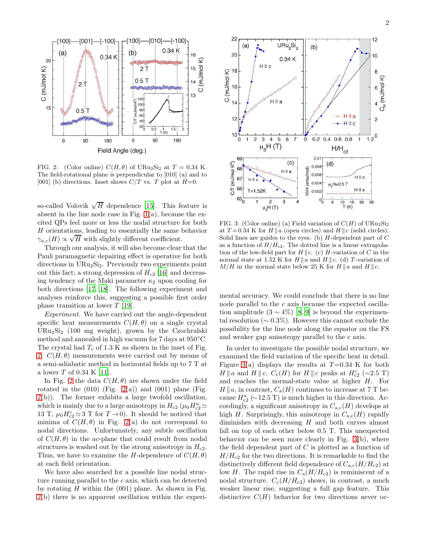

<span id="page-1-0"></span>FIG. 2: (Color online)  $C(H, \theta)$  of URu<sub>2</sub>Si<sub>2</sub> at  $T = 0.34$  K. The field-rotational plane is perpendicular to [010] (a) and to [001] (b) directions. Inset shows  $C/T$  vs. T plot at  $H=0$ .

so-called Volovik  $\sqrt{H}$  dependence [\[15](#page-3-14)]. This feature is absent in the line node case in Fig.  $1(a)$ , because the excited QPs feel more or less the nodal structure for both  $H$  orientations, leading to essentially the same behavior  $\gamma_{a,c}(H) \propto \sqrt{H}$  with slightly different coefficient.

Through our analysis, it will also become clear that the Pauli paramagnetic depairing effect is operative for both directions in URu2Si2. Previously two experiments point out this fact; a strong depression of  $H_{c2}$  [\[16\]](#page-3-15) and decreasing tendency of the Maki parameter  $\kappa_2$  upon cooling for both directions [\[17](#page-3-16), [18](#page-3-17)]. The following experiment and analyses reinforce this, suggesting a possible first order phase transition at lower T [\[19\]](#page-3-18).

Experiment. We have carried out the angle-dependent specific heat measurements  $C(H, \theta)$  on a single crystal URu2Si<sup>2</sup> (100 mg weight), grown by the Czochralski method and annealed in high vacuum for 7 days at 950◦C. The crystal had  $T_c$  of 1.3 K as shown in the inset of Fig. [2.](#page-1-0)  $C(H, \theta)$  measurements were carried out by means of a semi-adiabatic method in horizontal fields up to 7 T at a lower T of 0.34 K [\[11](#page-3-10)].

In Fig. [2](#page-1-0) the data  $C(H, \theta)$  are shown under the field rotated in the  $(010)$  (Fig. [2\(](#page-1-0)a)) and  $(001)$  plane (Fig.  $2(b)$  $2(b)$ ). The former exhibits a large twofold oscillation, which is mainly due to a large anisotropy in  $H_{c2}$  ( $\mu_0 H_{c2}^a \simeq$ 13 T,  $\mu_0 H_{c2}^c \simeq 3$  T for  $T \to 0$ ). It should be noticed that minima of  $C(H, \theta)$  in Fig. [2\(](#page-1-0)a) do not correspond to nodal directions. Unfortunately, any subtle oscillation of  $C(H, \theta)$  in the ac-plane that could result from nodal structures is washed out by the strong anisotropy in  $H_{c2}$ . Thus, we have to examine the H-dependence of  $C(H, \theta)$ at each field orientation.

We have also searched for a possible line nodal structure running parallel to the c axis, which can be detected by rotating  $H$  within the  $(001)$  plane. As shown in Fig. [2\(](#page-1-0)b) there is no apparent oscillation within the experi-



<span id="page-1-1"></span>FIG. 3: (Color online) (a) Field variation of  $C(H)$  of URu<sub>2</sub>Si<sub>2</sub> at  $T = 0.34$  K for  $H \parallel a$  (open circles) and  $H \parallel c$  (solid circles). Solid lines are guides to the eyes. (b)  $H$ -dependent part of  $C$ as a function of  $H/H_{c2}$ . The dotted line is a linear extrapolation of the low-field part for  $H \parallel c$ . (c) H-variation of C in the normal state at 1.52 K for  $H \parallel a$  and  $H \parallel c$ . (d) T-variation of  $M/H$  in the normal state below 25 K for  $H \parallel a$  and  $H \parallel c$ .

mental accuracy. We could conclude that there is no line node parallel to the c axis because the expected oscillation amplitude  $(3 \sim 4\%)$  [\[8,](#page-3-7) [9](#page-3-8)] is beyond the experimental resolution ( $\sim 0.3\%$ ). However this cannot exclude the possibility for the line node along the equator on the FS and weaker gap anisotropy parallel to the c axis.

In order to investigate the possible nodal structure, we examined the field variation of the specific heat in detail. Figure [3\(](#page-1-1)a) displays the results at  $T=0.34$  K for both  $H \parallel a$  and  $H \parallel c$ .  $C_c(H)$  for  $H \parallel c$  peaks at  $H_{c2}^c$  (~2.5 T) and reaches the normal-state value at higher H. For  $H \| a$ , in contrast,  $C_a(H)$  continues to increase at 7 T because  $H_{c2}^a$  (∼12.5 T) is much higher in this direction. Accordingly, a significant anisotropy in  $C_{a,c}(H)$  develops at high H. Surprisingly, this anisotropy in  $C_{a,c}(H)$  rapidly diminishes with decreasing  $H$  and both curves almost fall on top of each other below 0.5 T. This unexpected behavior can be seen more clearly in Fig. [3\(](#page-1-1)b), where the field dependent part of  $C$  is plotted as a function of  $H/H_{c2}$  for the two directions. It is remarkable to find the distinctively different field dependence of  $C_{a,c}(H/H_{c2})$  at low H. The rapid rise in  $C_a(H/H_{c2})$  is reminiscent of a nodal structure.  $C_c(H/H_{c2})$  shows, in contrast, a much weaker linear rise, suggesting a full gap feature. This distinctive  $C(H)$  behavior for two directions never oc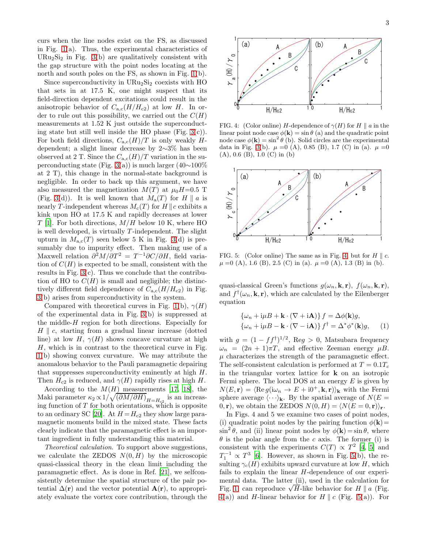curs when the line nodes exist on the FS, as discussed in Fig. [1\(](#page-0-0)a). Thus, the experimental characteristics of URu<sub>2</sub>Si<sub>2</sub> in Fig. [3\(](#page-1-1)b) are qualitatively consistent with the gap structure with the point nodes locating at the north and south poles on the FS, as shown in Fig. [1\(](#page-0-0)b).

Since superconductivity in  $URu<sub>2</sub>Si<sub>2</sub>$  coexists with HO that sets in at 17.5 K, one might suspect that its field-direction dependent excitations could result in the anisotropic behavior of  $C_{\rm a,c}(H/H_{\rm c2})$  at low H. In order to rule out this possibility, we carried out the  $C(H)$ measurements at 1.52 K just outside the superconducting state but still well inside the HO phase (Fig.  $3(c)$ ). For both field directions,  $C_{a,c}(H)/T$  is only weakly Hdependent; a slight linear decrease by 2∼3% has been observed at 2 T. Since the  $C_{\text{a.c}}(H)/T$  variation in the superconducting state (Fig. [3\(](#page-1-1)a)) is much larger (40∼100% at 2 T), this change in the normal-state background is negligible. In order to back up this argument, we have also measured the magnetization  $M(T)$  at  $\mu_0H=0.5$  T (Fig. [3\(](#page-1-1)d)). It is well known that  $M_a(T)$  for  $H \parallel a$  is nearly T-independent whereas  $M_c(T)$  for H || c exhibits a kink upon HO at 17.5 K and rapidly decreases at lower  $T$  [\[1](#page-3-0)]. For both directions,  $M/H$  below 10 K, where HO is well developed, is virtually  $T$ -independent. The slight upturn in  $M_{a,c}(T)$  seen below 5 K in Fig. [3\(](#page-1-1)d) is presumably due to impurity effect. Then making use of a Maxwell relation  $\partial^2 M/\partial T^2 = T^{-1}\partial C/\partial H$ , field variation of  $C(H)$  is expected to be small, consistent with the results in Fig.  $3(c)$ . Thus we conclude that the contribution of HO to  $C(H)$  is small and negligible; the distinctively different field dependence of  $C_{a,c}(H/H_{c2})$  in Fig. [3\(](#page-1-1)b) arises from superconductivity in the system.

Compared with theoretical curves in Fig. [1\(](#page-0-0)b),  $\gamma(H)$ of the experimental data in Fig. [3\(](#page-1-1)b) is suppressed at the middle-H region for both directions. Especially for  $H \parallel c$ , starting from a gradual linear increase (dotted line) at low H,  $\gamma(H)$  shows concave curvature at high  $H$ , which is in contrast to the theoretical curve in Fig. [1\(](#page-0-0)b) showing convex curvature. We may attribute the anomalous behavior to the Pauli paramagnetic depairing that suppresses superconductivity eminently at high H. Then  $H_{c2}$  is reduced, and  $\gamma(H)$  rapidly rises at high H.

According to the  $M(H)$  measurements [\[17,](#page-3-16) [18\]](#page-3-17), the Maki parameter  $\kappa_2 \propto 1/\sqrt{(\partial M/\partial H)}_{H=H_{c2}}$  is an increasing function of T for both orientations, which is opposite to an ordinary SC [\[20\]](#page-3-19). At  $H = H_{c2}$  they show large paramagnetic moments build in the mixed state. These facts clearly indicate that the paramagnetic effect is an important ingredient in fully understanding this material.

Theoretical calculation. To support above suggestions, we calculate the ZEDOS  $N(0, H)$  by the microscopic quasi-classical theory in the clean limit including the paramagnetic effect. As is done in Ref. [\[21\]](#page-3-20), we selfconsistently determine the spatial structure of the pair potential  $\Delta(\mathbf{r})$  and the vector potential  $\mathbf{A}(\mathbf{r})$ , to appropriately evaluate the vortex core contribution, through the



<span id="page-2-0"></span>FIG. 4: (Color online) H-dependence of  $\gamma(H)$  for  $H \parallel a$  in the linear point node case  $\phi(\mathbf{k}) = \sin \theta$  (a) and the quadratic point node case  $\phi(\mathbf{k}) = \sin^2 \theta$  (b). Solid circles are the experimental data in Fig. [3\(](#page-1-1)b).  $\mu = 0$  (A), 0.85 (B), 1.7 (C) in (a).  $\mu = 0$ (A), 0.6 (B), 1.0 (C) in (b)



<span id="page-2-1"></span>FIG. 5: (Color online) The same as in Fig. [4,](#page-2-0) but for  $H \parallel c$ .  $\mu = 0$  (A), 1.6 (B), 2.5 (C) in (a).  $\mu = 0$  (A), 1.3 (B) in (b).

quasi-classical Green's functions  $g(\omega_n, \mathbf{k}, \mathbf{r})$ ,  $f(\omega_n, \mathbf{k}, \mathbf{r})$ , and  $f^{\dagger}(\omega_n, \mathbf{k}, \mathbf{r})$ , which are calculated by the Eilenberger equation

$$
\{\omega_n + i\mu B + \mathbf{k} \cdot (\nabla + i\mathbf{A})\} f = \Delta \phi(\mathbf{k})g,
$$
  

$$
\{\omega_n + i\mu B - \mathbf{k} \cdot (\nabla - i\mathbf{A})\} f^{\dagger} = \Delta^* \phi^*(\mathbf{k})g,
$$
 (1)

with  $g = (1 - ff^{\dagger})^{1/2}$ , Reg > 0, Matsubara frequency  $\omega_n = (2n + 1)\pi T$ , and effective Zeeman energy  $\mu B$ .  $\mu$  characterizes the strength of the paramagnetic effect. The self-consistent calculation is performed at  $T = 0.1T_c$ in the triangular vortex lattice for  $\bf{k}$  on an isotropic Fermi sphere. The local DOS at an energy  $E$  is given by  $N(E, \mathbf{r}) = \langle \text{Re } g(\mathrm{i}\omega_n \to E + \mathrm{i}0^+, \mathbf{k}, \mathbf{r}) \rangle_{\mathbf{k}}$  with the Fermi sphere average  $\langle \cdots \rangle_{\mathbf{k}}$ . By the spatial average of  $N(E =$ 0, r), we obtain the ZEDOS  $N(0, H) = \langle N(E = 0, r) \rangle_r$ .

In Figs. 4 and 5 we examine two cases of point nodes, (i) quadratic point nodes by the pairing function  $\phi(\mathbf{k})=$  $\sin^2 \theta$ , and (ii) linear point nodes by  $\phi(\mathbf{k}) = \sin \theta$ , where  $\theta$  is the polar angle from the c axis. The former (i) is consistent with the experiments  $C(T) \propto T^2$  [\[4,](#page-3-3) [5\]](#page-3-4) and  $T_1^{-1} \propto T^3$  [\[6](#page-3-5)]. However, as shown in Fig. [5\(](#page-2-1)b), the resulting  $\gamma_c(H)$  exhibits upward curvature at low H, which fails to explain the linear H-dependence of our experimental data. The latter (ii), used in the calculation for Fig. [1,](#page-0-0) can reproduce  $\sqrt{H}$ -like behavior for  $H \parallel a$  (Fig.  $4(a)$  $4(a)$ ) and H-linear behavior for H || c (Fig. [5\(](#page-2-1)a)). For